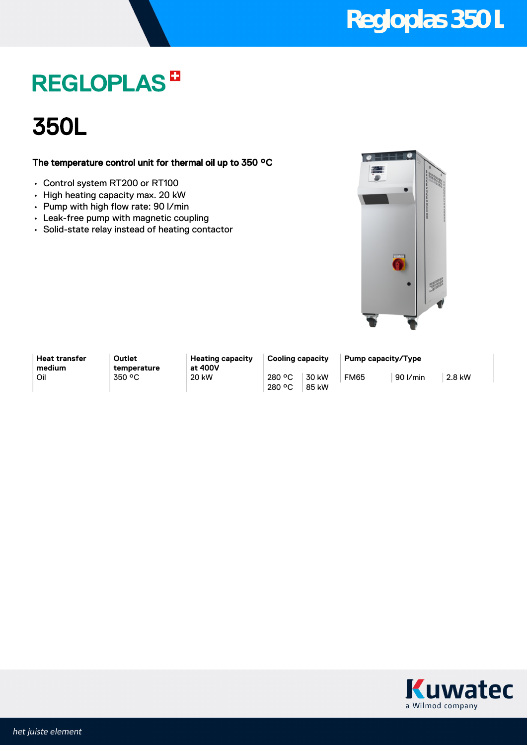## **Regloplas 350 L**

## **REGLOPLAS<sup>E</sup>**



### The temperature control unit for thermal oil up to 350 °C

- Control system RT200 or RT100
- High heating capacity max. 20 kW
- Pump with high flow rate: 90 l/min
- Leak-free pump with magnetic coupling
- Solid-state relay instead of heating contactor



**Heat transfer medium**

**Outlet temperature**

**Heating capacity at 400V** Oil 350 °C 20 kW 280 °C

280 °C 30 kW 85 kW

**Cooling capacity Pump capacity/Type** FM65 90 l/min 2.8 kW

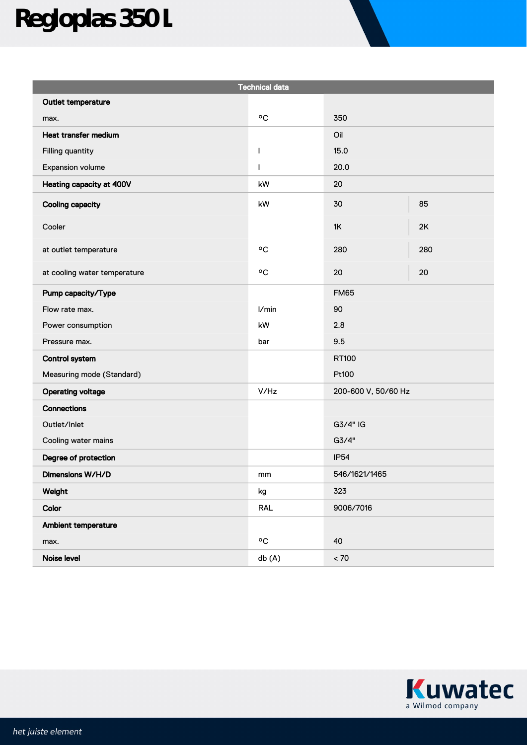# **Regloplas 350 L**

| <b>Technical data</b>        |                  |                     |     |
|------------------------------|------------------|---------------------|-----|
| Outlet temperature           |                  |                     |     |
| max.                         | °C               | 350                 |     |
| Heat transfer medium         |                  | Oil                 |     |
| Filling quantity             | $\mathbf{I}$     | 15.0                |     |
| Expansion volume             | $\mathbf{I}$     | 20.0                |     |
| Heating capacity at 400V     | kW               | 20                  |     |
| <b>Cooling capacity</b>      | kW               | 30                  | 85  |
| Cooler                       |                  | 1K                  | 2K  |
| at outlet temperature        | °C               | 280                 | 280 |
| at cooling water temperature | °C               | 20                  | 20  |
| Pump capacity/Type           |                  | <b>FM65</b>         |     |
| Flow rate max.               | I/min            | 90                  |     |
| Power consumption            | kW               | 2.8                 |     |
| Pressure max.                | bar              | 9.5                 |     |
| <b>Control system</b>        |                  | RT100               |     |
| Measuring mode (Standard)    |                  | Pt100               |     |
| <b>Operating voltage</b>     | V/Hz             | 200-600 V, 50/60 Hz |     |
| <b>Connections</b>           |                  |                     |     |
| Outlet/Inlet                 |                  | G3/4" IG            |     |
| Cooling water mains          |                  | G3/4"               |     |
| Degree of protection         |                  | <b>IP54</b>         |     |
| Dimensions W/H/D             | mm               | 546/1621/1465       |     |
| Weight                       | kg               | 323                 |     |
| Color                        | RAL              | 9006/7016           |     |
| Ambient temperature          |                  |                     |     |
| max.                         | $\circ \text{C}$ | 40                  |     |
| Noise level                  | db (A)           | $< 70$              |     |